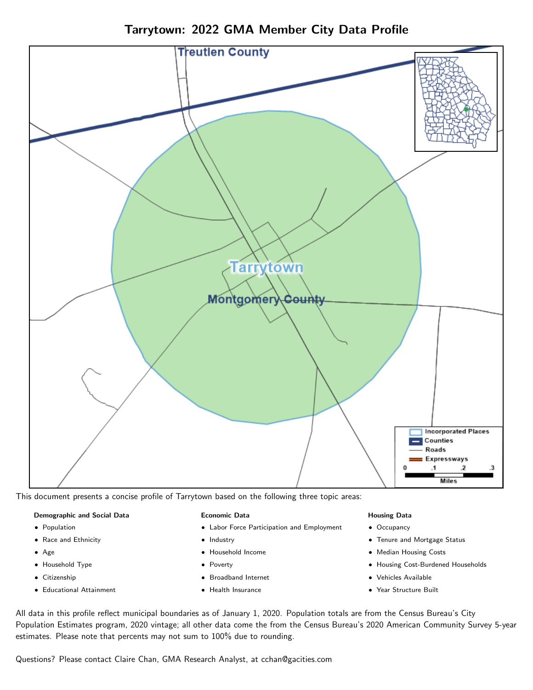Tarrytown: 2022 GMA Member City Data Profile



This document presents a concise profile of Tarrytown based on the following three topic areas:

#### Demographic and Social Data

- **•** Population
- Race and Ethnicity
- Age
- Household Type
- **Citizenship**
- Educational Attainment

#### Economic Data

- Labor Force Participation and Employment
- Industry
- Household Income
- Poverty
- Broadband Internet
- Health Insurance

#### Housing Data

- Occupancy
- Tenure and Mortgage Status
- Median Housing Costs
- Housing Cost-Burdened Households
- Vehicles Available
- Year Structure Built

All data in this profile reflect municipal boundaries as of January 1, 2020. Population totals are from the Census Bureau's City Population Estimates program, 2020 vintage; all other data come the from the Census Bureau's 2020 American Community Survey 5-year estimates. Please note that percents may not sum to 100% due to rounding.

Questions? Please contact Claire Chan, GMA Research Analyst, at [cchan@gacities.com.](mailto:cchan@gacities.com)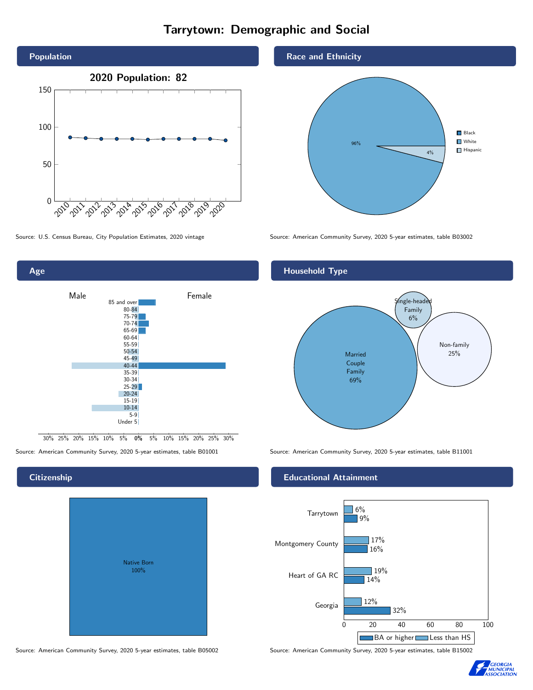# Tarrytown: Demographic and Social





0% 5% 10% 15% 20% 25% 30% 30% 25% 20% 15% 10% 5%

## **Citizenship**

| <b>Native Born</b><br>100% |  |
|----------------------------|--|

Race and Ethnicity



Source: U.S. Census Bureau, City Population Estimates, 2020 vintage Source: American Community Survey, 2020 5-year estimates, table B03002

## Household Type



Source: American Community Survey, 2020 5-year estimates, table B01001 Source: American Community Survey, 2020 5-year estimates, table B11001

### Educational Attainment



Source: American Community Survey, 2020 5-year estimates, table B05002 Source: American Community Survey, 2020 5-year estimates, table B15002

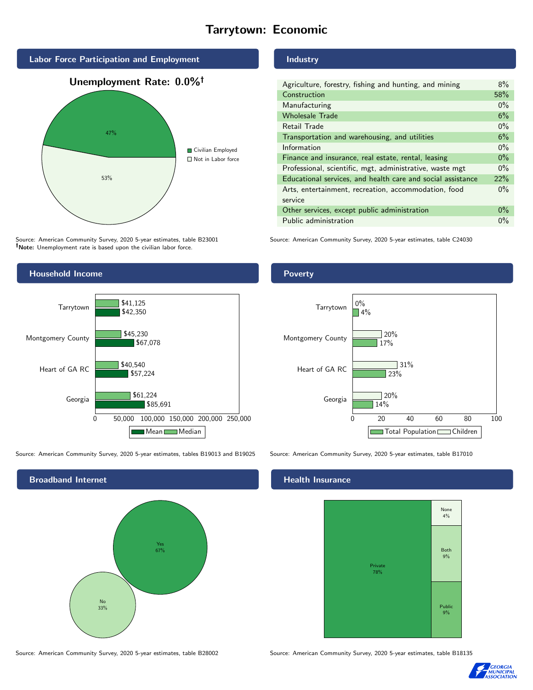# Tarrytown: Economic



Source: American Community Survey, 2020 5-year estimates, table B23001 Note: Unemployment rate is based upon the civilian labor force.

## Industry

| Agriculture, forestry, fishing and hunting, and mining      | $8\%$ |
|-------------------------------------------------------------|-------|
| Construction                                                | 58%   |
| Manufacturing                                               | $0\%$ |
| <b>Wholesale Trade</b>                                      | 6%    |
| Retail Trade                                                | $0\%$ |
| Transportation and warehousing, and utilities               |       |
| Information                                                 |       |
| Finance and insurance, real estate, rental, leasing         |       |
| Professional, scientific, mgt, administrative, waste mgt    |       |
| Educational services, and health care and social assistance |       |
| Arts, entertainment, recreation, accommodation, food        |       |
| service                                                     |       |
| Other services, except public administration                |       |
| Public administration                                       |       |

Source: American Community Survey, 2020 5-year estimates, table C24030



Source: American Community Survey, 2020 5-year estimates, tables B19013 and B19025 Source: American Community Survey, 2020 5-year estimates, table B17010

Broadband Internet No 33% Yes 67%

### Health Insurance



Source: American Community Survey, 2020 5-year estimates, table B28002 Source: American Community Survey, 2020 5-year estimates, table B18135



## Poverty